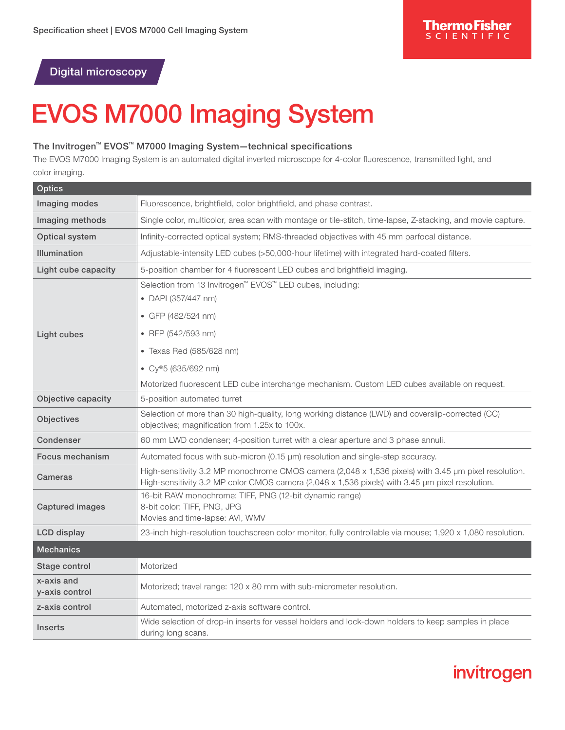invitrogen

## Digital microscopy

# EVOS M7000 Imaging System

#### The Invitrogen™ EVOS™ M7000 Imaging System—technical specifications

The EVOS M7000 Imaging System is an automated digital inverted microscope for 4-color fluorescence, transmitted light, and color imaging.

| <b>Optics</b>                |                                                                                                                                                                                                         |
|------------------------------|---------------------------------------------------------------------------------------------------------------------------------------------------------------------------------------------------------|
| Imaging modes                | Fluorescence, brightfield, color brightfield, and phase contrast.                                                                                                                                       |
| Imaging methods              | Single color, multicolor, area scan with montage or tile-stitch, time-lapse, Z-stacking, and movie capture.                                                                                             |
| Optical system               | Infinity-corrected optical system; RMS-threaded objectives with 45 mm parfocal distance.                                                                                                                |
| <b>Illumination</b>          | Adjustable-intensity LED cubes (>50,000-hour lifetime) with integrated hard-coated filters.                                                                                                             |
| Light cube capacity          | 5-position chamber for 4 fluorescent LED cubes and brightfield imaging.                                                                                                                                 |
|                              | Selection from 13 Invitrogen <sup>™</sup> EVOS™ LED cubes, including:<br>• DAPI (357/447 nm)                                                                                                            |
| Light cubes                  | • GFP (482/524 nm)                                                                                                                                                                                      |
|                              | • RFP (542/593 nm)                                                                                                                                                                                      |
|                              | • Texas Red (585/628 nm)                                                                                                                                                                                |
|                              | • $Cy^{\circledast}5(635/692 nm)$                                                                                                                                                                       |
|                              | Motorized fluorescent LED cube interchange mechanism. Custom LED cubes available on request.                                                                                                            |
| Objective capacity           | 5-position automated turret                                                                                                                                                                             |
| Objectives                   | Selection of more than 30 high-quality, long working distance (LWD) and coverslip-corrected (CC)<br>objectives; magnification from 1.25x to 100x.                                                       |
| Condenser                    | 60 mm LWD condenser; 4-position turret with a clear aperture and 3 phase annuli.                                                                                                                        |
| Focus mechanism              | Automated focus with sub-micron (0.15 µm) resolution and single-step accuracy.                                                                                                                          |
| Cameras                      | High-sensitivity 3.2 MP monochrome CMOS camera (2,048 x 1,536 pixels) with 3.45 µm pixel resolution.<br>High-sensitivity 3.2 MP color CMOS camera (2,048 x 1,536 pixels) with 3.45 µm pixel resolution. |
| <b>Captured images</b>       | 16-bit RAW monochrome: TIFF, PNG (12-bit dynamic range)<br>8-bit color: TIFF, PNG, JPG<br>Movies and time-lapse: AVI, WMV                                                                               |
| <b>LCD</b> display           | 23-inch high-resolution touchscreen color monitor, fully controllable via mouse; 1,920 x 1,080 resolution.                                                                                              |
| <b>Mechanics</b>             |                                                                                                                                                                                                         |
| Stage control                | Motorized                                                                                                                                                                                               |
| x-axis and<br>y-axis control | Motorized; travel range: 120 x 80 mm with sub-micrometer resolution.                                                                                                                                    |
| z-axis control               | Automated, motorized z-axis software control.                                                                                                                                                           |
| <b>Inserts</b>               | Wide selection of drop-in inserts for vessel holders and lock-down holders to keep samples in place<br>during long scans.                                                                               |